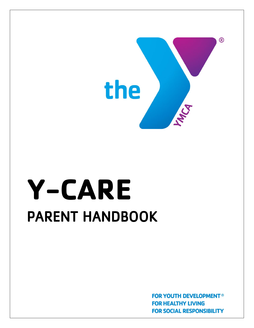

# **Y-CARE**  PARENT HANDBOOK

**FOR YOUTH DEVELOPMENT® FOR HEALTHY LIVING FOR SOCIAL RESPONSIBILITY**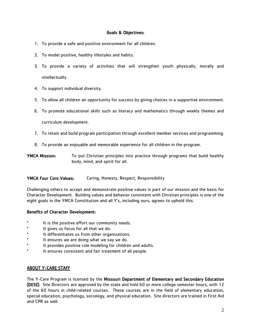#### Goals & Objectives:

- 1. To provide a safe and positive environment for all children.
- 2. To model positive, healthy lifestyles and habits.
- 3. To provide a variety of activities that will strengthen youth physically, morally and intellectually.
- 4. To support individual diversity.
- 5. To allow all children an opportunity for success by giving choices in a supportive environment.
- 6. To promote educational skills such as literacy and mathematics through weekly themes and

curriculum development.

- 7. To retain and build program participation through excellent member services and programming.
- 8. To provide an enjoyable and memorable experience for all children in the program.
- YMCA Mission: To put Christian principles into practice through programs that build healthy body, mind, and spirit for all.

#### YMCA Four Core Values: Caring, Honesty, Respect, Responsibility

Challenging others to accept and demonstrate positive values is part of our mission and the basis for Character Development. Building values and behavior consistent with Christian principles is one of the eight goals in the YMCA Constitution and all Y's, including ours, agrees to uphold this.

#### Benefits of Character Development:

- It is the positive effort our community needs.
- \* It gives us focus for all that we do.
- It differentiates us from other organizations.
- \* It ensures we are doing what we say we do.
- \* It provides positive role modeling for children and adults.
- It ensures consistent and fair treatment of all people.

## ABOUT Y-CARE STAFF

The Y-Care Program is licensed by the Missouri Department of Elementary and Secondary Education (DESE). Site Directors are approved by the state and hold 60 or more college semester hours, with 12 of the 60 hours in child-related courses. These courses are in the field of elementary education, special education, psychology, sociology, and physical education. Site directors are trained in First Aid and CPR as well.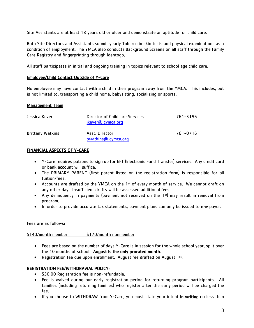Site Assistants are at least 18 years old or older and demonstrate an aptitude for child care.

Both Site Directors and Assistants submit yearly Tuberculin skin tests and physical examinations as a condition of employment. The YMCA also conducts Background Screens on all staff through the Family Care Registry and fingerprinting through Identogo.

All staff participates in initial and ongoing training in topics relevant to school age child care.

#### Employee/Child Contact Outside of Y-Care

No employee may have contact with a child in their program away from the YMCA. This includes, but is not limited to, transporting a child home, babysitting, socializing or sports.

#### Management Team

| Jessica Kever           | Director of Childcare Services<br>jkever@jcymca.org | 761-3196 |
|-------------------------|-----------------------------------------------------|----------|
| <b>Brittany Watkins</b> | Asst. Director<br>bwatkins@jcymca.org               | 761-0716 |

## FINANCIAL ASPECTS OF Y-CARE

- Y-Care requires patrons to sign up for EFT (Electronic Fund Transfer) services. Any credit card or bank account will suffice.
- The PRIMARY PARENT (first parent listed on the registration form) is responsible for all tuition/fees.
- Accounts are drafted by the YMCA on the 1st of every month of service. We cannot draft on any other day. Insufficient drafts will be assessed additional fees.
- Any delinquency in payments (payment not received on the 1st) may result in removal from program.
- In order to provide accurate tax statements, payment plans can only be issued to one payer.

Fees are as follows:

\$140/month member \$170/month nonmember

- Fees are based on the number of days Y-Care is in session for the whole school year, split over the 10 months of school. August is the only prorated month.
- Registration fee due upon enrollment. August fee drafted on August 1st.

## REGISTRATION FEE/WITHDRAWAL POLICY:

- \$30.00 Registration fee is non-refundable.
- Fee is waived during our early registration period for returning program participants. All families (including returning families) who register after the early period will be charged the fee.
- If you choose to WITHDRAW from Y-Care, you must state your intent in writing no less than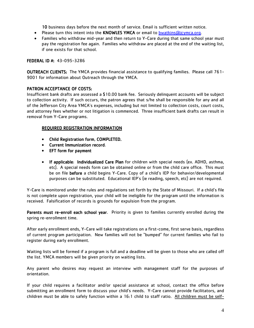10 business days before the next month of service. Email is sufficient written notice.

- Please turn this intent into the KNOWLES YMCA or email to **bwatkins@jcymca.org**.
- Families who withdraw mid-year and then return to Y-Care during that same school year must pay the registration fee again. Families who withdraw are placed at the end of the waiting list, if one exists for that school.

## FEDERAL ID #: 43-095-3286

OUTREACH CLIENTS: The YMCA provides financial assistance to qualifying families. Please call 761- 9001 for information about Outreach through the YMCA.

## PATRON ACCEPTANCE OF COSTS:

Insufficient bank drafts are assessed a \$10.00 bank fee. Seriously delinquent accounts will be subject to collection activity. If such occurs, the patron agrees that s/he shall be responsible for any and all of the Jefferson City Area YMCA's expenses, including but not limited to collection costs, court costs, and attorney fees whether or not litigation is commenced. Three insufficient bank drafts can result in removal from Y-Care programs.

#### REQUIRED REGISTRATION INFORMATION

- Child Registration form, COMPLETED.
- Current Immunization record.
- EFT form for payment
- If applicable: Individualized Care Plan for children with special needs (ex. ADHD, asthma, etc). A special needs form can be obtained online or from the child care office. This must be on file before a child begins Y-Care. Copy of a child's IEP for behavior/developmental purposes can be substituted. Educational IEP's (ie reading, speech, etc) are not required.

Y-Care is monitored under the rules and regulations set forth by the State of Missouri. If a child's file is not complete upon registration, your child will be ineligible for the program until the information is received. Falsification of records is grounds for expulsion from the program.

Parents must re-enroll each school year. Priority is given to families currently enrolled during the spring re-enrollment time.

After early enrollment ends, Y-Care will take registrations on a first-come, first serve basis, regardless of current program participation. New families will not be "bumped" for current families who fail to register during early enrollment.

Waiting lists will be formed if a program is full and a deadline will be given to those who are called off the list. YMCA members will be given priority on waiting lists.

Any parent who desires may request an interview with management staff for the purposes of orientation.

If your child requires a facilitator and/or special assistance at school, contact the office before submitting an enrollment form to discuss your child's needs. Y-Care cannot provide facilitators, and children must be able to safely function within a 16:1 child to staff ratio. All children must be self-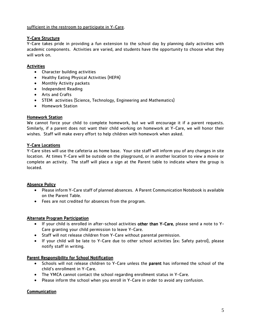#### sufficient in the restroom to participate in Y-Care.

# Y-Care Structure

Y-Care takes pride in providing a fun extension to the school day by planning daily activities with academic components. Activities are varied, and students have the opportunity to choose what they will work on.

# Activities

- Character building activities
- Healthy Eating Physical Activities (HEPA)
- Monthly Activity packets
- Independent Reading
- Arts and Crafts
- STEM activities (Science, Technology, Engineering and Mathematics)
- Homework Station

## Homework Station

We cannot force your child to complete homework, but we will encourage it if a parent requests. Similarly, if a parent does not want their child working on homework at Y-Care, we will honor their wishes. Staff will make every effort to help children with homework when asked.

## Y-Care Locations

Y-Care sites will use the cafeteria as home base. Your site staff will inform you of any changes in site location. At times Y-Care will be outside on the playground, or in another location to view a movie or complete an activity. The staff will place a sign at the Parent table to indicate where the group is located.

## Absence Policy

- Please inform Y-Care staff of planned absences. A Parent Communication Notebook is available on the Parent Table.
- Fees are not credited for absences from the program.

## Alternate Program Participation

- If your child is enrolled in after-school activities other than Y-Care, please send a note to Y-Care granting your child permission to leave Y-Care.
- Staff will not release children from Y-Care without parental permission.
- If your child will be late to Y-Care due to other school activities (ex: Safety patrol), please notify staff in writing.

## Parent Responsibility for School Notification

- Schools will not release children to Y-Care unless the parent has informed the school of the child's enrollment in Y-Care.
- The YMCA cannot contact the school regarding enrollment status in Y-Care.
- Please inform the school when you enroll in Y-Care in order to avoid any confusion.

## **Communication**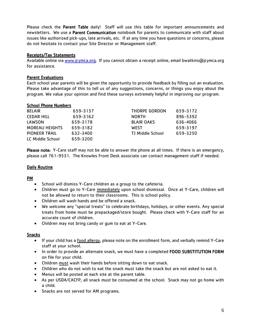Please check the Parent Table daily! Staff will use this table for important announcements and newsletters. We use a Parent Communication notebook for parents to communicate with staff about issues like authorized pick-ups, late arrivals, etc. If at any time you have questions or concerns, please do not hesitate to contact your Site Director or Management staff.

#### Receipts/Tax Statements

Available online via [www.jcymca.org.](http://www.jcymca.org/) If you cannot obtain a receipt online, email bwatkins@jcymca.org for assistance.

## Parent Evaluations

Each school year parents will be given the opportunity to provide feedback by filling out an evaluation. Please take advantage of this to tell us of any suggestions, concerns, or things you enjoy about the program. We value your opinion and find these surveys extremely helpful in improving our program.

#### School Phone Numbers

| <b>BELAIR</b>         | 659-3157 | THORPE GORDON     | 659-3172 |
|-----------------------|----------|-------------------|----------|
| <b>CEDAR HILL</b>     | 659-3162 | <b>NORTH</b>      | 896-5392 |
| LAWSON                | 659-3178 | <b>BLAIR OAKS</b> | 636-4066 |
| <b>MOREAU HEIGHTS</b> | 659-3182 | WEST              | 659-3197 |
| <b>PIONEER TRAIL</b>  | 632-3400 | TJ Middle School  | 659-3250 |
| LC Middle School      | 659-3200 |                   |          |

Please note: Y-Care staff may not be able to answer the phone at all times. If there is an emergency, please call 761-9531. The Knowles Front Desk associate can contact management staff if needed.

## Daily Routine

## PM

- School will dismiss Y-Care children as a group to the cafeteria.
- Children must go to Y-Care immediately upon school dismissal. Once at Y-Care, children will not be allowed to return to their classrooms. This is school policy.
- Children will wash hands and be offered a snack.
- We welcome any "special treats" to celebrate birthdays, holidays, or other events. Any special treats from home must be prepackaged/store bought. Please check with Y-Care staff for an accurate count of children.
- Children may not bring candy or gum to eat at Y-Care.

## **Snacks**

- If your child has a food allergy, please note on the enrollment form, and verbally remind Y-Care staff at your school.
- In order to provide an alternate snack, we must have a completed FOOD SUBSTITUTION FORM on file for your child.
- Children must wash their hands before sitting down to eat snack.
- Children who do not wish to eat the snack must take the snack but are not asked to eat it.
- Menus will be posted at each site at the parent table.
- As per USDA/CACFP, all snack must be consumed at the school. Snack may not go home with a child.
- Snacks are not served for AM programs.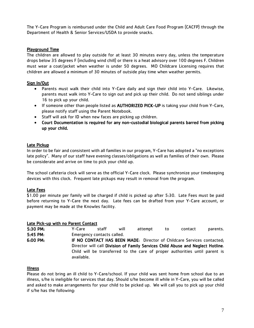The Y-Care Program is reimbursed under the Child and Adult Care Food Program (CACFP) through the Department of Health & Senior Services/USDA to provide snacks.

## Playground Time

The children are allowed to play outside for at least 30 minutes every day, unless the temperature drops below 35 degrees F (including wind chill) or there is a heat advisory over 100 degrees F. Children must wear a coat/jacket when weather is under 50 degrees. MO Childcare Licensing requires that children are allowed a minimum of 30 minutes of outside play time when weather permits.

# Sign In/Out

- Parents must walk their child into Y-Care daily and sign their child into Y-Care. Likewise, parents must walk into Y-Care to sign out and pick up their child. Do not send siblings under 16 to pick up your child.
- If someone other than people listed as AUTHORIZED PICK-UP is taking your child from Y-Care, please notify staff using the Parent Notebook.
- Staff will ask for ID when new faces are picking up children.
- Court Documentation is required for any non-custodial biological parents barred from picking up your child.

# Late Pickup

In order to be fair and consistent with all families in our program, Y-Care has adopted a "no exceptions late policy". Many of our staff have evening classes/obligations as well as families of their own. Please be considerate and arrive on time to pick your child up.

The school cafeteria clock will serve as the official Y-Care clock. Please synchronize your timekeeping devices with this clock. Frequent late pickups may result in removal from the program.

# Late Fees

\$1.00 per minute per family will be charged if child is picked up after 5:30. Late Fees must be paid before returning to Y-Care the next day. Late fees can be drafted from your Y-Care account, or payment may be made at the Knowles facility.

## Late Pick-up with no Parent Contact

| 5:30 PM:             | Y-Care                                                                                                                                                                                                                                                 | staff | will | attempt | to | contact | parents. |  |  |
|----------------------|--------------------------------------------------------------------------------------------------------------------------------------------------------------------------------------------------------------------------------------------------------|-------|------|---------|----|---------|----------|--|--|
| 5:45 PM:             | Emergency contacts called.                                                                                                                                                                                                                             |       |      |         |    |         |          |  |  |
| $6:00 \, \text{PM:}$ | IF NO CONTACT HAS BEEN MADE: Director of Childcare Services contacted;<br>Director will call Division of Family Services Child Abuse and Neglect Hotline.<br>Child will be transferred to the care of proper authorities until parent is<br>available. |       |      |         |    |         |          |  |  |

## Illness

Please do not bring an ill child to Y-Care/school. If your child was sent home from school due to an illness, s/he is ineligible for services that day. Should s/he become ill while in Y-Care, you will be called and asked to make arrangements for your child to be picked up. We will call you to pick up your child if s/he has the following: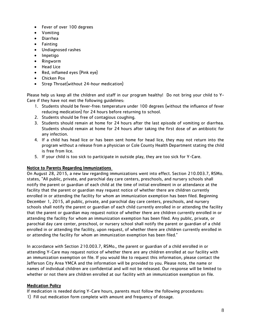- Fever of over 100 degrees
- Vomiting
- Diarrhea
- Fainting
- Undiagnosed rashes
- Impetigo
- Ringworm
- Head Lice
- Red, inflamed eyes (Pink eye)
- Chicken Pox
- Strep Throat(without 24-hour medication)

Please help us keep all the children and staff in our program healthy! Do not bring your child to Y-Care if they have not met the following guidelines:

- 1. Students should be fever-free: temperature under 100 degrees (without the influence of fever reducing medication) for 24 hours before returning to school.
- 2. Students should be free of contagious coughing.
- 3. Students should remain at home for 24 hours after the last episode of vomiting or diarrhea. Students should remain at home for 24 hours after taking the first dose of an antibiotic for any infection.
- 4. If a child has head lice or has been sent home for head lice, they may not return into the program without a release from a physician or Cole County Health Department stating the child is free from lice.
- 5. If your child is too sick to participate in outside play, they are too sick for Y-Care.

# Notice to Parents Regarding Immunizations

On August 28, 2015, a new law regarding immunizations went into effect. Section 210.003.7, RSMo. states, "All public, private, and parochial day care centers, preschools, and nursery schools shall notify the parent or guardian of each child at the time of initial enrollment in or attendance at the facility that the parent or guardian may request notice of whether there are children currently enrolled in or attending the facility for whom an immunization exemption has been filed. Beginning December 1, 2015, all public, private, and parochial day care centers, preschools, and nursery schools shall notify the parent or guardian of each child currently enrolled in or attending the facility that the parent or guardian may request notice of whether there are children currently enrolled in or attending the facility for whom an immunization exemption has been filed. Any public, private, or parochial day care center, preschool, or nursery school shall notify the parent or guardian of a child enrolled in or attending the facility, upon request, of whether there are children currently enrolled in or attending the facility for whom an immunization exemption has been filed."

In accordance with Section 210.003.7, RSMo., the parent or guardian of a child enrolled in or attending Y-Care may request notice of whether there are any children enrolled at our facility with an immunization exemption on file. If you would like to request this information, please contact the Jefferson City Area YMCA and the information will be provided to you. Please note, the name or names of individual children are confidential and will not be released. Our response will be limited to whether or not there are children enrolled at our facility with an immunization exemption on file.

# Medication Policy

If medication is needed during Y-Care hours, parents must follow the following procedures:

1) Fill out medication form complete with amount and frequency of dosage.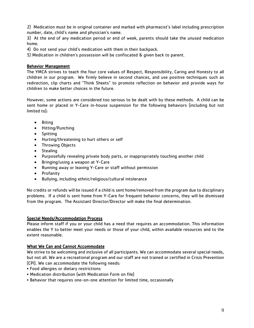2) Medication must be in original container and marked with pharmacist's label including prescription number, date, child's name and physician's name.

3) At the end of any medication period or end of week, parents should take the unused medication home.

4) Do not send your child's medication with them in their backpack.

5) Medication in children's possession will be confiscated & given back to parent.

## Behavior Management

The YMCA strives to teach the four core values of Respect, Responsibility, Caring and Honesty to all children in our program. We firmly believe in second chances, and use positive techniques such as redirection, clip charts and "Think Sheets" to promote reflection on behavior and provide ways for children to make better choices in the future.

However, some actions are considered too serious to be dealt with by these methods. A child can be sent home or placed in Y-Care in-house suspension for the following behaviors (including but not limited to):

- Biting
- Hitting/Punching
- Spitting
- Hurting/threatening to hurt others or self
- Throwing Objects
- Stealing
- Purposefully revealing private body parts, or inappropriately touching another child
- Bringing/using a weapon at Y-Care
- Running away or leaving Y-Care or staff without permission
- Profanity
- Bullying, including ethnic/religious/cultural intolerance

No credits or refunds will be issued if a child is sent home/removed from the program due to disciplinary problems. If a child is sent home from Y-Care for frequent behavior concerns, they will be dismissed from the program. The Assistant Director/Director will make the final determination.

## Special Needs/Accommodation Process

Please inform staff if you or your child has a need that requires an accommodation. This information enables the Y to better meet your needs or those of your child, within available resources and to the extent reasonable.

## What We Can and Cannot Accommodate

We strive to be welcoming and inclusive of all participants. We can accommodate several special needs, but not all. We are a recreational program and our staff are not trained or certified in Crisis Prevention (CPI). We can accommodate the following needs:

- Food allergies or dietary restrictions
- Medication distribution (with Medication Form on file)
- Behavior that requires one-on-one attention for limited time, occasionally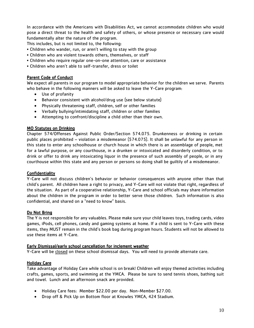In accordance with the Americans with Disabilities Act, we cannot accommodate children who would pose a direct threat to the health and safety of others, or whose presence or necessary care would fundamentally alter the nature of the program.

This includes, but is not limited to, the following:

- Children who wander, run, or aren't willing to stay with the group
- Children who are violent towards others, themselves, or staff
- Children who require regular one-on-one attention, care or assistance
- Children who aren't able to self-transfer, dress or toilet

#### Parent Code of Conduct

We expect all parents in our program to model appropriate behavior for the children we serve. Parents who behave in the following manners will be asked to leave the Y-Care program:

- Use of profanity
- Behavior consistent with alcohol/drug use (see below statute)
- Physically threatening staff, children, self or other families
- Verbally bullying/intimidating staff, children or other families
- Attempting to confront/discipline a child other than their own.

#### MO Statutes on Drinking

Chapter 574/Offenses Against Public Order/Section 574.075. Drunkenness or drinking in certain public places prohibited – violation a misdemeanor (574.075). It shall be unlawful for any person in this state to enter any schoolhouse or church house in which there is an assemblage of people, met for a lawful purpose, or any courthouse, in a drunken or intoxicated and disorderly condition, or to drink or offer to drink any intoxicating liquor in the presence of such assembly of people, or in any courthouse within this state and any person or persons so doing shall be guiltily of a misdemeanor.

#### Confidentiality

Y-Care will not discuss children's behavior or behavior consequences with anyone other than that child's parent. All children have a right to privacy, and Y-Care will not violate that right, regardless of the situation. As part of a cooperative relationship, Y-Care and school officials may share information about the children in the program in order to better serve those children. Such information is also confidential, and shared on a "need to know" basis.

#### Do Not Bring

The Y is not responsible for any valuables. Please make sure your child leaves toys, trading cards, video games, iPods, cell phones, candy and gaming systems at home. If a child is sent to Y-Care with these items, they MUST remain in the child's book bag during program hours. Students will not be allowed to use these items at Y-Care.

#### Early Dismissal/early school cancellation for inclement weather

Y-Care will be closed on these school dismissal days. You will need to provide alternate care.

## Holiday Care

Take advantage of Holiday Care while school is on break! Children will enjoy themed activities including crafts, games, sports, and swimming at the YMCA. Please be sure to send tennis shoes, bathing suit and towel. Lunch and an afternoon snack are provided.

- Holiday Care fees: Member \$22.00 per day. Non-Member \$27.00.
- Drop off & Pick Up on Bottom floor at Knowles YMCA, 424 Stadium.